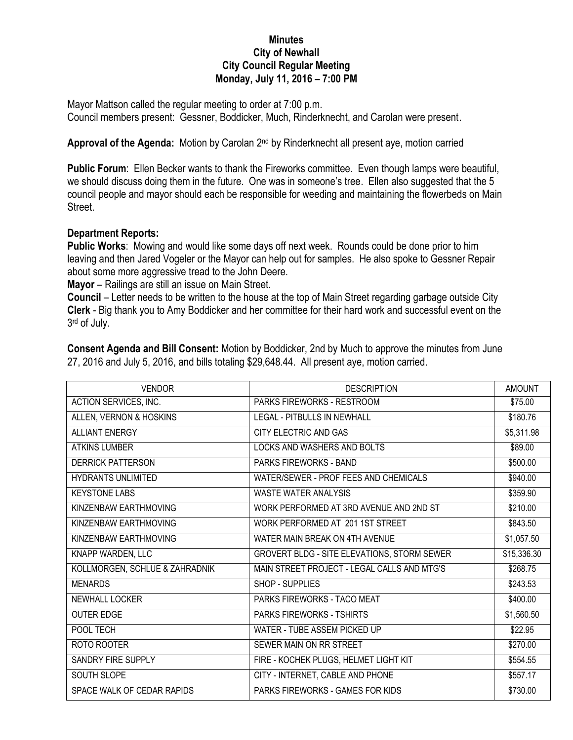## **Minutes City of Newhall City Council Regular Meeting Monday, July 11, 2016 – 7:00 PM**

Mayor Mattson called the regular meeting to order at 7:00 p.m. Council members present: Gessner, Boddicker, Much, Rinderknecht, and Carolan were present.

Approval of the Agenda: Motion by Carolan 2<sup>nd</sup> by Rinderknecht all present aye, motion carried

**Public Forum**: Ellen Becker wants to thank the Fireworks committee. Even though lamps were beautiful, we should discuss doing them in the future. One was in someone's tree. Ellen also suggested that the 5 council people and mayor should each be responsible for weeding and maintaining the flowerbeds on Main Street.

## **Department Reports:**

**Public Works**: Mowing and would like some days off next week. Rounds could be done prior to him leaving and then Jared Vogeler or the Mayor can help out for samples. He also spoke to Gessner Repair about some more aggressive tread to the John Deere.

**Mayor** – Railings are still an issue on Main Street.

**Council** – Letter needs to be written to the house at the top of Main Street regarding garbage outside City **Clerk** - Big thank you to Amy Boddicker and her committee for their hard work and successful event on the 3 rd of July.

| <b>VENDOR</b>                  | <b>DESCRIPTION</b>                          | <b>AMOUNT</b> |
|--------------------------------|---------------------------------------------|---------------|
| ACTION SERVICES, INC.          | <b>PARKS FIREWORKS - RESTROOM</b>           | \$75.00       |
| ALLEN, VERNON & HOSKINS        | <b>LEGAL - PITBULLS IN NEWHALL</b>          | \$180.76      |
| <b>ALLIANT ENERGY</b>          | CITY ELECTRIC AND GAS                       | \$5,311.98    |
| <b>ATKINS LUMBER</b>           | LOCKS AND WASHERS AND BOLTS                 | \$89.00       |
| <b>DERRICK PATTERSON</b>       | <b>PARKS FIREWORKS - BAND</b>               | \$500.00      |
| <b>HYDRANTS UNLIMITED</b>      | WATER/SEWER - PROF FEES AND CHEMICALS       | \$940.00      |
| <b>KEYSTONE LABS</b>           | <b>WASTE WATER ANALYSIS</b>                 | \$359.90      |
| KINZENBAW EARTHMOVING          | WORK PERFORMED AT 3RD AVENUE AND 2ND ST     | \$210.00      |
| KINZENBAW EARTHMOVING          | WORK PERFORMED AT 201 1ST STREET            | \$843.50      |
| KINZENBAW EARTHMOVING          | WATER MAIN BREAK ON 4TH AVENUE              | \$1,057.50    |
| KNAPP WARDEN, LLC              | GROVERT BLDG - SITE ELEVATIONS, STORM SEWER | \$15,336.30   |
| KOLLMORGEN, SCHLUE & ZAHRADNIK | MAIN STREET PROJECT - LEGAL CALLS AND MTG'S | \$268.75      |
| <b>MENARDS</b>                 | SHOP - SUPPLIES                             | \$243.53      |
| NEWHALL LOCKER                 | PARKS FIREWORKS - TACO MEAT                 | \$400.00      |
| <b>OUTER EDGE</b>              | <b>PARKS FIREWORKS - TSHIRTS</b>            | \$1,560.50    |
| POOL TECH                      | WATER - TUBE ASSEM PICKED UP                | \$22.95       |
| ROTO ROOTER                    | SEWER MAIN ON RR STREET                     | \$270.00      |
| SANDRY FIRE SUPPLY             | FIRE - KOCHEK PLUGS, HELMET LIGHT KIT       | \$554.55      |
| SOUTH SLOPE                    | CITY - INTERNET, CABLE AND PHONE            | \$557.17      |
| SPACE WALK OF CEDAR RAPIDS     | PARKS FIREWORKS - GAMES FOR KIDS            | \$730.00      |

**Consent Agenda and Bill Consent:** Motion by Boddicker, 2nd by Much to approve the minutes from June 27, 2016 and July 5, 2016, and bills totaling \$29,648.44. All present aye, motion carried.